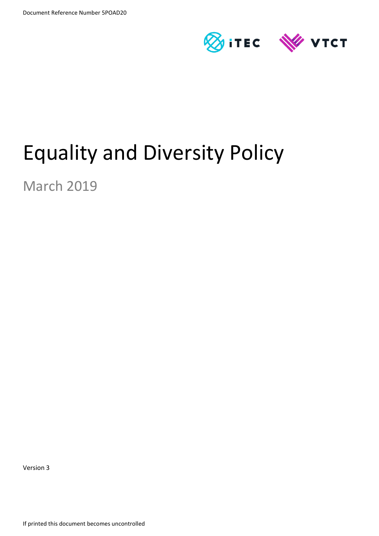

# Equality and Diversity Policy

March 2019

Version 3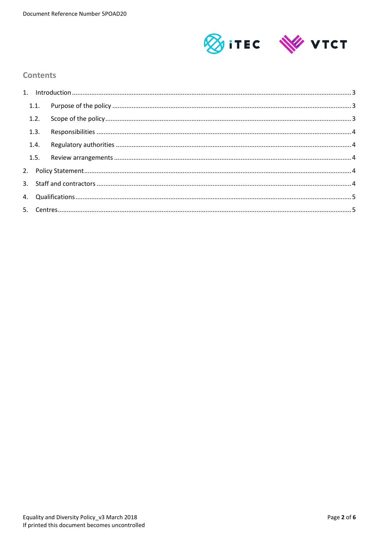

## **Contents**

| 1.3. |  |  |
|------|--|--|
| 1.4. |  |  |
|      |  |  |
|      |  |  |
|      |  |  |
|      |  |  |
|      |  |  |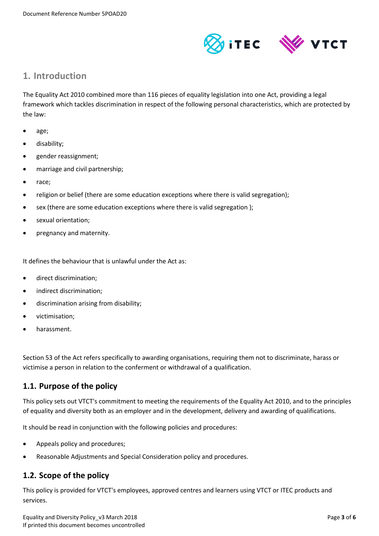

# <span id="page-2-0"></span>**1. Introduction**

The Equality Act 2010 combined more than 116 pieces of equality legislation into one Act, providing a legal framework which tackles discrimination in respect of the following personal characteristics, which are protected by the law:

- age;
- disability;
- gender reassignment;
- marriage and civil partnership;
- race;
- religion or belief (there are some education exceptions where there is valid segregation);
- sex (there are some education exceptions where there is valid segregation );
- sexual orientation;
- pregnancy and maternity.

It defines the behaviour that is unlawful under the Act as:

- direct discrimination;
- indirect discrimination;
- discrimination arising from disability;
- victimisation;
- harassment.

Section 53 of the Act refers specifically to awarding organisations, requiring them not to discriminate, harass or victimise a person in relation to the conferment or withdrawal of a qualification.

## <span id="page-2-1"></span>**1.1. Purpose of the policy**

This policy sets out VTCT's commitment to meeting the requirements of the Equality Act 2010, and to the principles of equality and diversity both as an employer and in the development, delivery and awarding of qualifications.

It should be read in conjunction with the following policies and procedures:

- Appeals policy and procedures;
- Reasonable Adjustments and Special Consideration policy and procedures.

# <span id="page-2-2"></span>**1.2. Scope of the policy**

This policy is provided for VTCT's employees, approved centres and learners using VTCT or ITEC products and services.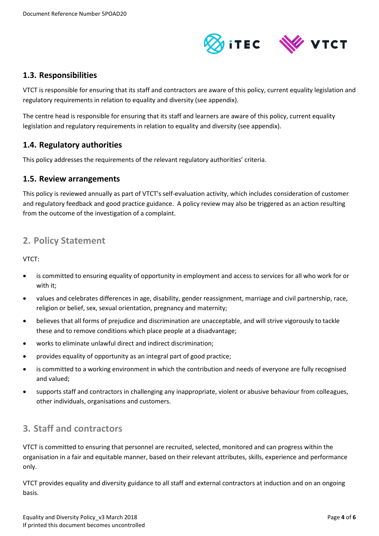

## <span id="page-3-0"></span>**1.3. Responsibilities**

VTCT is responsible for ensuring that its staff and contractors are aware of this policy, current equality legislation and regulatory requirements in relation to equality and diversity (see appendix).

The centre head is responsible for ensuring that its staff and learners are aware of this policy, current equality legislation and regulatory requirements in relation to equality and diversity (see appendix).

## <span id="page-3-1"></span>**1.4. Regulatory authorities**

This policy addresses the requirements of the relevant regulatory authorities' criteria.

### <span id="page-3-2"></span>**1.5. Review arrangements**

This policy is reviewed annually as part of VTCT's self-evaluation activity, which includes consideration of customer and regulatory feedback and good practice guidance. A policy review may also be triggered as an action resulting from the outcome of the investigation of a complaint.

# <span id="page-3-3"></span>**2. Policy Statement**

VTCT:

- is committed to ensuring equality of opportunity in employment and access to services for all who work for or with it;
- values and celebrates differences in age, disability, gender reassignment, marriage and civil partnership, race, religion or belief, sex, sexual orientation, pregnancy and maternity;
- believes that all forms of prejudice and discrimination are unacceptable, and will strive vigorously to tackle these and to remove conditions which place people at a disadvantage;
- works to eliminate unlawful direct and indirect discrimination;
- provides equality of opportunity as an integral part of good practice;
- is committed to a working environment in which the contribution and needs of everyone are fully recognised and valued;
- supports staff and contractors in challenging any inappropriate, violent or abusive behaviour from colleagues, other individuals, organisations and customers.

# <span id="page-3-4"></span>**3. Staff and contractors**

VTCT is committed to ensuring that personnel are recruited, selected, monitored and can progress within the organisation in a fair and equitable manner, based on their relevant attributes, skills, experience and performance only.

VTCT provides equality and diversity guidance to all staff and external contractors at induction and on an ongoing basis.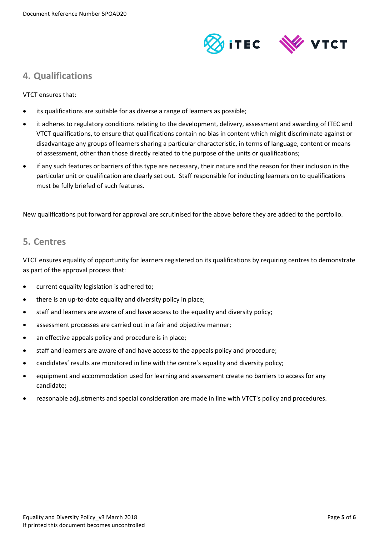

# <span id="page-4-0"></span>**4. Qualifications**

VTCT ensures that:

- its qualifications are suitable for as diverse a range of learners as possible;
- it adheres to regulatory conditions relating to the development, delivery, assessment and awarding of ITEC and VTCT qualifications, to ensure that qualifications contain no bias in content which might discriminate against or disadvantage any groups of learners sharing a particular characteristic, in terms of language, content or means of assessment, other than those directly related to the purpose of the units or qualifications;
- if any such features or barriers of this type are necessary, their nature and the reason for their inclusion in the particular unit or qualification are clearly set out. Staff responsible for inducting learners on to qualifications must be fully briefed of such features.

New qualifications put forward for approval are scrutinised for the above before they are added to the portfolio.

# <span id="page-4-1"></span>**5. Centres**

VTCT ensures equality of opportunity for learners registered on its qualifications by requiring centres to demonstrate as part of the approval process that:

- current equality legislation is adhered to;
- there is an up-to-date equality and diversity policy in place;
- staff and learners are aware of and have access to the equality and diversity policy;
- assessment processes are carried out in a fair and objective manner;
- an effective appeals policy and procedure is in place;
- staff and learners are aware of and have access to the appeals policy and procedure;
- candidates' results are monitored in line with the centre's equality and diversity policy;
- equipment and accommodation used for learning and assessment create no barriers to access for any candidate;
- reasonable adjustments and special consideration are made in line with VTCT's policy and procedures.